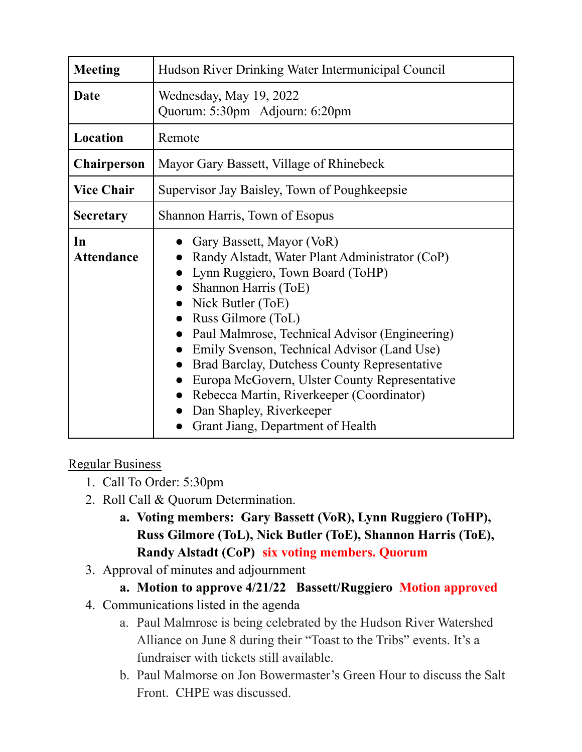| <b>Meeting</b>          | Hudson River Drinking Water Intermunicipal Council                                                                                                                                                                                                                                                                                                                                                                                                                                                 |
|-------------------------|----------------------------------------------------------------------------------------------------------------------------------------------------------------------------------------------------------------------------------------------------------------------------------------------------------------------------------------------------------------------------------------------------------------------------------------------------------------------------------------------------|
| Date                    | Wednesday, May 19, 2022<br>Quorum: 5:30pm Adjourn: 6:20pm                                                                                                                                                                                                                                                                                                                                                                                                                                          |
| Location                | Remote                                                                                                                                                                                                                                                                                                                                                                                                                                                                                             |
| <b>Chairperson</b>      | Mayor Gary Bassett, Village of Rhinebeck                                                                                                                                                                                                                                                                                                                                                                                                                                                           |
| <b>Vice Chair</b>       | Supervisor Jay Baisley, Town of Poughkeepsie                                                                                                                                                                                                                                                                                                                                                                                                                                                       |
| <b>Secretary</b>        | Shannon Harris, Town of Esopus                                                                                                                                                                                                                                                                                                                                                                                                                                                                     |
| In<br><b>Attendance</b> | Gary Bassett, Mayor (VoR)<br>Randy Alstadt, Water Plant Administrator (CoP)<br>Lynn Ruggiero, Town Board (ToHP)<br>Shannon Harris (ToE)<br>Nick Butler (ToE)<br>Russ Gilmore (ToL)<br>Paul Malmrose, Technical Advisor (Engineering)<br>Emily Svenson, Technical Advisor (Land Use)<br>Brad Barclay, Dutchess County Representative<br>Europa McGovern, Ulster County Representative<br>Rebecca Martin, Riverkeeper (Coordinator)<br>Dan Shapley, Riverkeeper<br>Grant Jiang, Department of Health |

## Regular Business

- 1. Call To Order: 5:30pm
- 2. Roll Call & Quorum Determination.
	- **a. Voting members: Gary Bassett (VoR), Lynn Ruggiero (ToHP), Russ Gilmore (ToL), Nick Butler (ToE), Shannon Harris (ToE), Randy Alstadt (CoP) six voting members. Quorum**
- 3. Approval of minutes and adjournment

## **a. Motion to approve 4/21/22 Bassett/Ruggiero Motion approved**

- 4. Communications listed in the agenda
	- a. Paul Malmrose is being celebrated by the Hudson River Watershed Alliance on June 8 during their "Toast to the Tribs" events. It's a fundraiser with tickets still available.
	- b. Paul Malmorse on Jon Bowermaster's Green Hour to discuss the Salt Front. CHPE was discussed.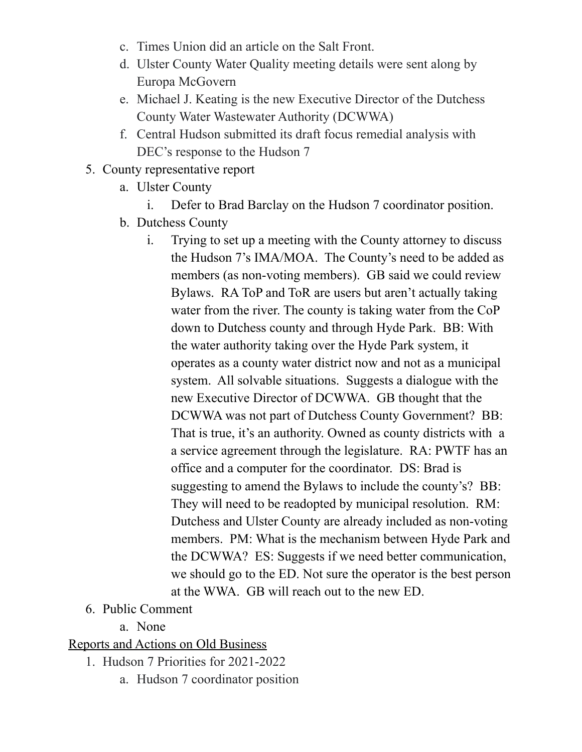- c. Times Union did an article on the Salt Front.
- d. Ulster County Water Quality meeting details were sent along by Europa McGovern
- e. Michael J. Keating is the new Executive Director of the Dutchess County Water Wastewater Authority (DCWWA)
- f. Central Hudson submitted its draft focus remedial analysis with DEC's response to the Hudson 7
- 5. County representative report
	- a. Ulster County
		- i. Defer to Brad Barclay on the Hudson 7 coordinator position.
	- b. Dutchess County
		- i. Trying to set up a meeting with the County attorney to discuss the Hudson 7's IMA/MOA. The County's need to be added as members (as non-voting members). GB said we could review Bylaws. RA ToP and ToR are users but aren't actually taking water from the river. The county is taking water from the CoP down to Dutchess county and through Hyde Park. BB: With the water authority taking over the Hyde Park system, it operates as a county water district now and not as a municipal system. All solvable situations. Suggests a dialogue with the new Executive Director of DCWWA. GB thought that the DCWWA was not part of Dutchess County Government? BB: That is true, it's an authority. Owned as county districts with a a service agreement through the legislature. RA: PWTF has an office and a computer for the coordinator. DS: Brad is suggesting to amend the Bylaws to include the county's? BB: They will need to be readopted by municipal resolution. RM: Dutchess and Ulster County are already included as non-voting members. PM: What is the mechanism between Hyde Park and the DCWWA? ES: Suggests if we need better communication, we should go to the ED. Not sure the operator is the best person at the WWA. GB will reach out to the new ED.
- 6. Public Comment
	- a. None

## Reports and Actions on Old Business

- 1. Hudson 7 Priorities for 2021-2022
	- a. Hudson 7 coordinator position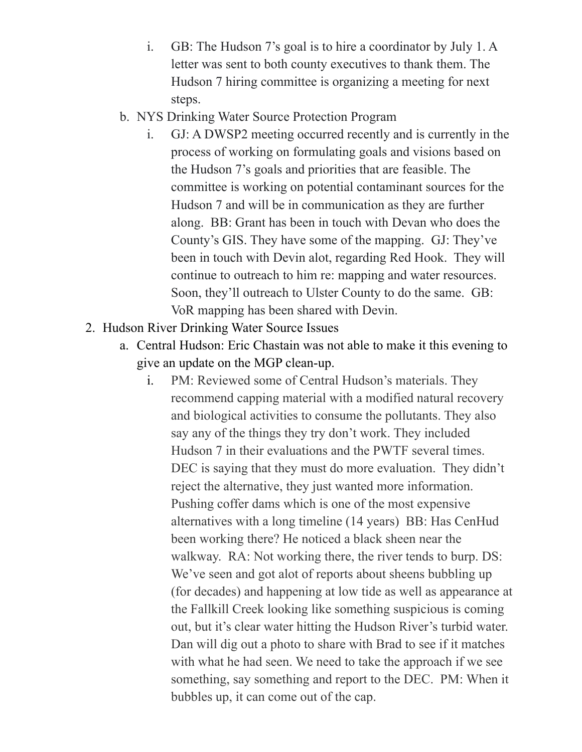- i. GB: The Hudson 7's goal is to hire a coordinator by July 1. A letter was sent to both county executives to thank them. The Hudson 7 hiring committee is organizing a meeting for next steps.
- b. NYS Drinking Water Source Protection Program
	- i. GJ: A DWSP2 meeting occurred recently and is currently in the process of working on formulating goals and visions based on the Hudson 7's goals and priorities that are feasible. The committee is working on potential contaminant sources for the Hudson 7 and will be in communication as they are further along. BB: Grant has been in touch with Devan who does the County's GIS. They have some of the mapping. GJ: They've been in touch with Devin alot, regarding Red Hook. They will continue to outreach to him re: mapping and water resources. Soon, they'll outreach to Ulster County to do the same. GB: VoR mapping has been shared with Devin.
- 2. Hudson River Drinking Water Source Issues
	- a. Central Hudson: Eric Chastain was not able to make it this evening to give an update on the MGP clean-up.
		- i. PM: Reviewed some of Central Hudson's materials. They recommend capping material with a modified natural recovery and biological activities to consume the pollutants. They also say any of the things they try don't work. They included Hudson 7 in their evaluations and the PWTF several times. DEC is saying that they must do more evaluation. They didn't reject the alternative, they just wanted more information. Pushing coffer dams which is one of the most expensive alternatives with a long timeline (14 years) BB: Has CenHud been working there? He noticed a black sheen near the walkway. RA: Not working there, the river tends to burp. DS: We've seen and got alot of reports about sheens bubbling up (for decades) and happening at low tide as well as appearance at the Fallkill Creek looking like something suspicious is coming out, but it's clear water hitting the Hudson River's turbid water. Dan will dig out a photo to share with Brad to see if it matches with what he had seen. We need to take the approach if we see something, say something and report to the DEC. PM: When it bubbles up, it can come out of the cap.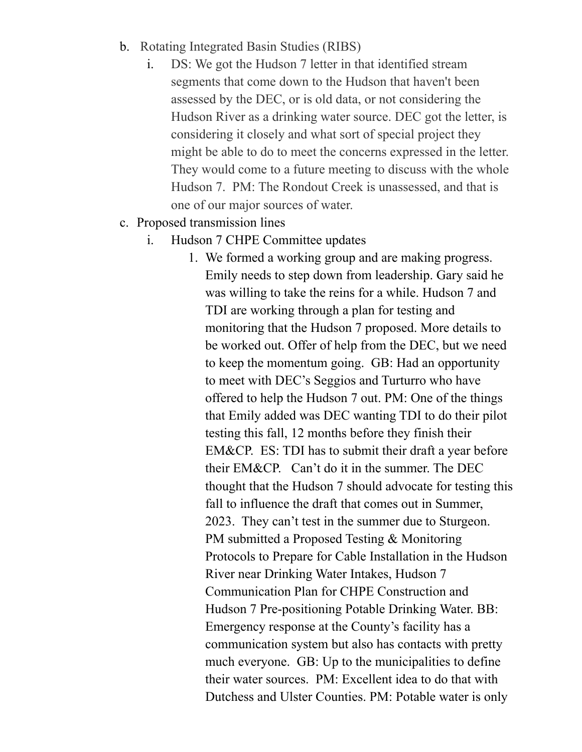- b. Rotating Integrated Basin Studies (RIBS)
	- i. DS: We got the Hudson 7 letter in that identified stream segments that come down to the Hudson that haven't been assessed by the DEC, or is old data, or not considering the Hudson River as a drinking water source. DEC got the letter, is considering it closely and what sort of special project they might be able to do to meet the concerns expressed in the letter. They would come to a future meeting to discuss with the whole Hudson 7. PM: The Rondout Creek is unassessed, and that is one of our major sources of water.
- c. Proposed transmission lines
	- i. Hudson 7 CHPE Committee updates
		- 1. We formed a working group and are making progress. Emily needs to step down from leadership. Gary said he was willing to take the reins for a while. Hudson 7 and TDI are working through a plan for testing and monitoring that the Hudson 7 proposed. More details to be worked out. Offer of help from the DEC, but we need to keep the momentum going. GB: Had an opportunity to meet with DEC's Seggios and Turturro who have offered to help the Hudson 7 out. PM: One of the things that Emily added was DEC wanting TDI to do their pilot testing this fall, 12 months before they finish their EM&CP. ES: TDI has to submit their draft a year before their EM&CP. Can't do it in the summer. The DEC thought that the Hudson 7 should advocate for testing this fall to influence the draft that comes out in Summer, 2023. They can't test in the summer due to Sturgeon. PM submitted a Proposed Testing & Monitoring Protocols to Prepare for Cable Installation in the Hudson River near Drinking Water Intakes, Hudson 7 Communication Plan for CHPE Construction and Hudson 7 Pre-positioning Potable Drinking Water. BB: Emergency response at the County's facility has a communication system but also has contacts with pretty much everyone. GB: Up to the municipalities to define their water sources. PM: Excellent idea to do that with Dutchess and Ulster Counties. PM: Potable water is only